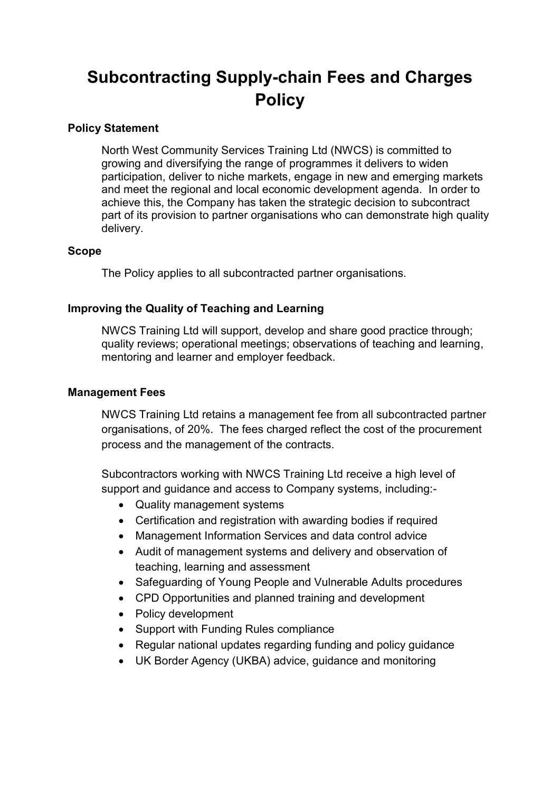# **Subcontracting Supply-chain Fees and Charges Policy**

# **Policy Statement**

North West Community Services Training Ltd (NWCS) is committed to growing and diversifying the range of programmes it delivers to widen participation, deliver to niche markets, engage in new and emerging markets and meet the regional and local economic development agenda. In order to achieve this, the Company has taken the strategic decision to subcontract part of its provision to partner organisations who can demonstrate high quality delivery.

# **Scope**

The Policy applies to all subcontracted partner organisations.

# **Improving the Quality of Teaching and Learning**

NWCS Training Ltd will support, develop and share good practice through; quality reviews; operational meetings; observations of teaching and learning, mentoring and learner and employer feedback.

# **Management Fees**

NWCS Training Ltd retains a management fee from all subcontracted partner organisations, of 20%. The fees charged reflect the cost of the procurement process and the management of the contracts.

Subcontractors working with NWCS Training Ltd receive a high level of support and guidance and access to Company systems, including:-

- Quality management systems
- Certification and registration with awarding bodies if required
- Management Information Services and data control advice
- Audit of management systems and delivery and observation of teaching, learning and assessment
- Safeguarding of Young People and Vulnerable Adults procedures
- CPD Opportunities and planned training and development
- Policy development
- Support with Funding Rules compliance
- Regular national updates regarding funding and policy guidance
- UK Border Agency (UKBA) advice, guidance and monitoring